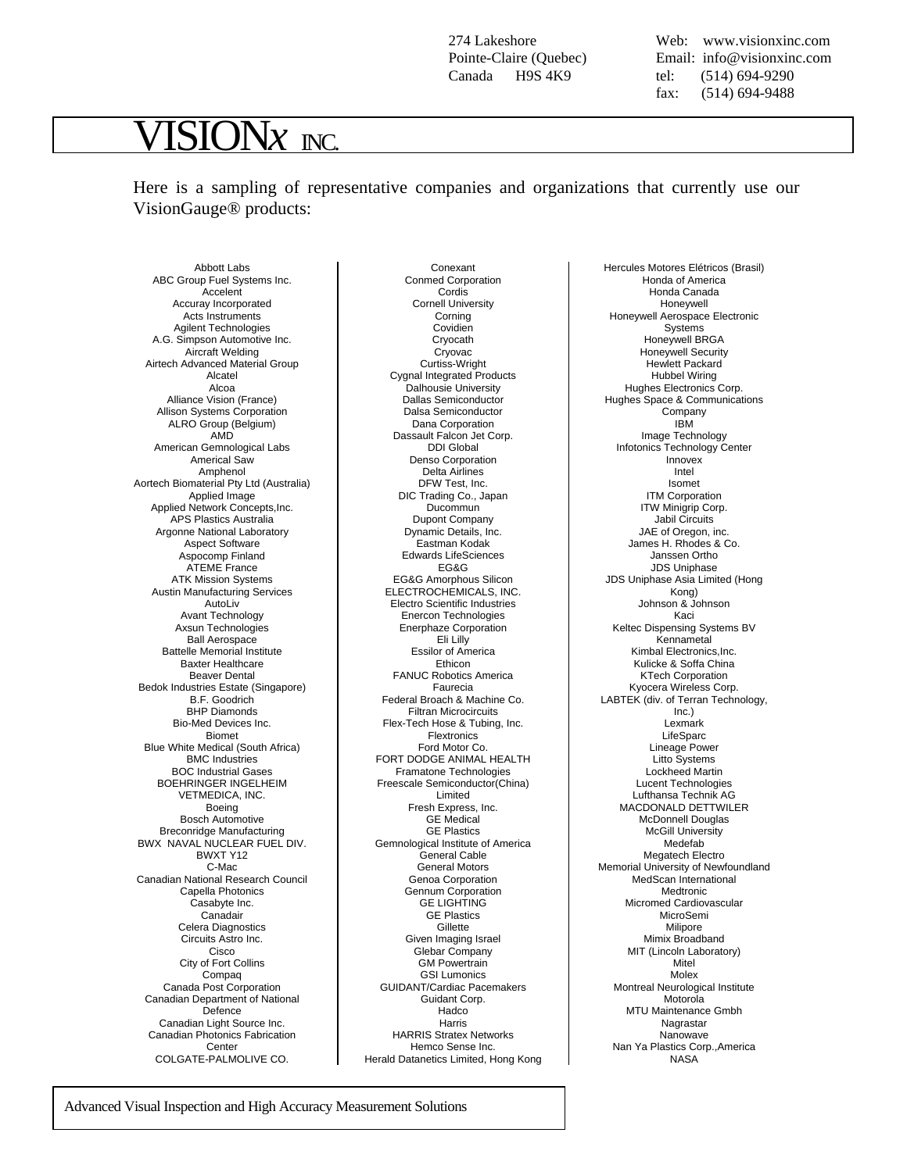274 Lakeshore Pointe-Claire (Quebec) Canada H9S 4K9

Web: [www.visionxinc.com](http://www.visionxinc.com)  Email: info@visionxinc.com tel: (514) 694-9290 fax: (514) 694-9488

## $\overline{\textbf{SION}}$ *x*  $_{\textbf{INC}}$

Here is a sampling of representative companies and organizations that currently use our VisionGauge® products:

Conexant

Abbott Labs ABC Group Fuel Systems Inc. Accelent Accuray Incorporated Acts Instruments Agilent Technologies A.G. Simpson Automotive Inc. Aircraft Welding Airtech Advanced Material Group Alcatel Alcoa Alliance Vision (France) Allison Systems Corporation ALRO Group (Belgium) AMD American Gemnological Labs Americal Saw Amphenol Aortech Biomaterial Pty Ltd (Australia) Applied Image Applied Network Concepts,Inc. APS Plastics Australia Argonne National Laboratory Aspect Software Aspocomp Finland ATEME France ATK Mission Systems Austin Manufacturing Services AutoLiv Avant Technology Axsun Technologies Ball Aerospace Battelle Memorial Institute Baxter Healthcare Beaver Dental Bedok Industries Estate (Singapore) B.F. Goodrich BHP Diamonds Bio-Med Devices Inc. Biomet Blue White Medical (South Africa) BMC Industries BOC Industrial Gases BOEHRINGER INGELHEIM VETMEDICA, INC. Boeing Bosch Automotive Breconridge Manufacturing BWX NAVAL NUCLEAR FUEL DIV. BWXT Y12 C-Mac Canadian National Research Council Capella Photonics Casabyte Inc. Canadair Celera Diagnostics Circuits Astro Inc. **Cisco** City of Fort Collins Compaq Canada Post Corporation Canadian Department of National Defence Canadian Light Source Inc. Canadian Photonics Fabrication **Center** COLGATE-PALMOLIVE CO.

Conmed Corporation Cordis Cornell University Corning Covidien Cryocath Cryovac Curtiss-Wright Cygnal Integrated Products Dalhousie University Dallas Semiconductor Dalsa Semiconductor Dana Corporation Dassault Falcon Jet Corp. DDI Global Denso Corporation Delta Airlines DFW Test, Inc. DIC Trading Co., Japan Ducommun Dupont Company Dynamic Details, Inc. Eastman Kodak Edwards LifeSciences EG&G EG&G Amorphous Silicon ELECTROCHEMICALS, INC. Electro Scientific Industries Enercon Technologies Enerphaze Corporation Eli Lilly Essilor of America Ethicon FANUC Robotics America Faurecia Federal Broach & Machine Co. Filtran Microcircuits Flex-Tech Hose & Tubing, Inc. **Flextronics** Ford Motor Co. FORT DODGE ANIMAL HEALTH Framatone Technologies Freescale Semiconductor(China) Limited Fresh Express, Inc. GE Medical GE Plastics Gemnological Institute of America General Cable General Motors Genoa Corporation Gennum Corporation GE LIGHTING GE Plastics **Gillette** Given Imaging Israel Glebar Company GM Powertrain GSI Lumonics GUIDANT/Cardiac Pacemakers Guidant Corp. Hadco Harris HARRIS Stratex Networks Hemco Sense Inc. Herald Datanetics Limited, Hong Kong

Hercules Motores Elétricos (Brasil) Honda of America Honda Canada Honeywell Honeywell Aerospace Electronic Systems Honeywell BRGA Honeywell Security Hewlett Packard Hubbel Wiring Hughes Electronics Corp. Hughes Space & Communications Company IBM Image Technology Infotonics Technology Center Innovex Intel Isomet ITM Corporation ITW Minigrip Corp. Jabil Circuits JAE of Oregon, inc. James H. Rhodes & Co. Janssen Ortho JDS Uniphase JDS Uniphase Asia Limited (Hong Kong) Johnson & Johnson Kaci Keltec Dispensing Systems BV **Kennametal** Kimbal Electronics,Inc. Kulicke & Soffa China KTech Corporation Kyocera Wireless Corp. LABTEK (div. of Terran Technology, Inc.) Lexmark LifeSparc Lineage Power Litto Systems Lockheed Martin Lucent Technologies Lufthansa Technik AG MACDONALD DETTWILER McDonnell Douglas McGill University Medefab Megatech Electro Memorial University of Newfoundland MedScan International Medtronic Micromed Cardiovascular MicroSemi Milipore Mimix Broadband MIT (Lincoln Laboratory) Mitel Molex Montreal Neurological Institute Motorola MTU Maintenance Gmbh Nagrastar Nanowave Nan Ya Plastics Corp.,America NASA

Advanced Visual Inspection and High Accuracy Measurement Solutions